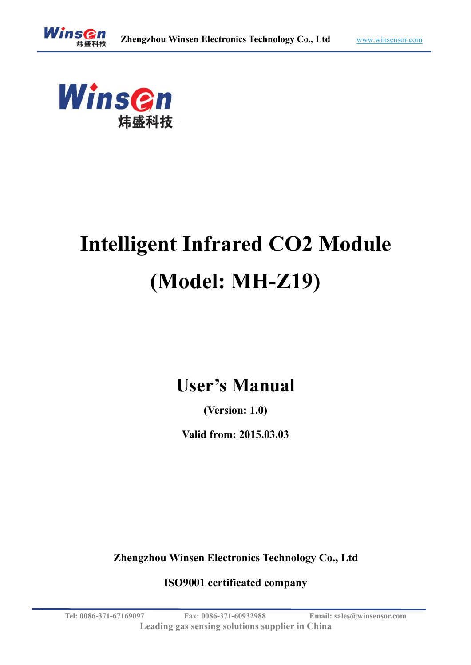

# **Intelligent Infrared CO2 Module (Model: MH-Z19)**

## **User's Manual**

**(Version: 1.0)**

**Valid from: 2015.03.03**

**Zhengzhou Winsen Electronics Technology Co., Ltd**

**ISO9001 certificated company**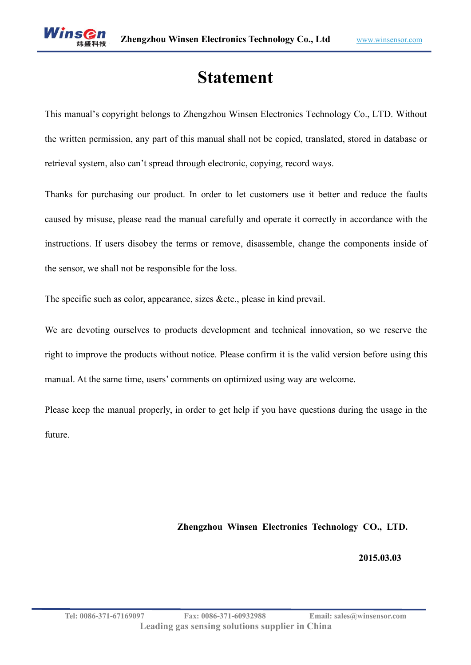## **Statement**

This manual's copyright belongs to Zhengzhou Winsen Electronics Technology Co., LTD. Without the written permission, any part of this manual shall not be copied, translated, stored in database or retrieval system, also can't spread through electronic, copying, record ways.

Thanks for purchasing our product. In order to let customers use it better and reduce the faults caused by misuse, please read the manual carefully and operate it correctly in accordance with the instructions. If users disobey the terms or remove, disassemble, change the components inside of the sensor, we shall not be responsible for the loss.

The specific such as color, appearance, sizes &etc., please in kind prevail.

We are devoting ourselves to products development and technical innovation, so we reserve the right to improve the products without notice. Please confirm it is the valid version before using this manual. At the same time, users' comments on optimized using way are welcome.

Please keep the manual properly, in order to get help if you have questions during the usage in the future.

#### **Zhengzhou Winsen Electronics Technology CO., LTD.**

**2015.03.03**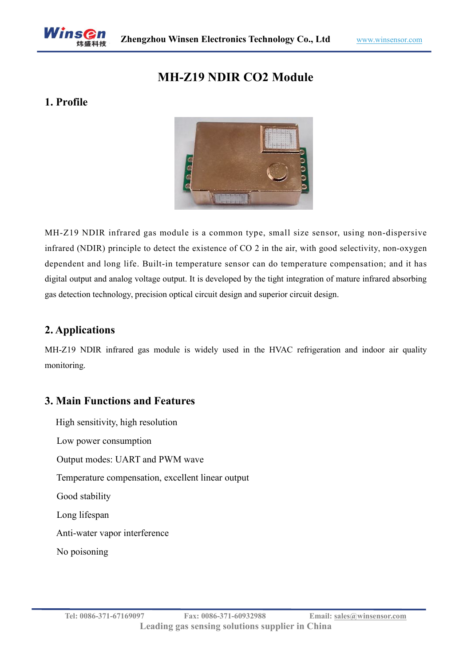

## **MH-Z19 NDIR CO2 Module**

#### **1. Profile**



MH-Z19 NDIR infrared gas module is a common type, small size sensor, using non-dispersive infrared (NDIR) principle to detect the existence of CO 2 in the air, with good selectivity, non-oxygen dependent and long life. Built-in temperature sensor can do temperature compensation; and it has digital output and analog voltage output. It is developed by the tight integration of mature infrared absorbing gas detection technology, precision optical circuit design and superior circuit design.

#### **2. Applications**

MH-Z19 NDIR infrared gas module is widely used in the HVAC refrigeration and indoor air quality monitoring.

#### **3. Main Functions and Features**

High sensitivity, high resolution Low power consumption Output modes: UART and PWM wave Temperature compensation, excellent linear output Good stability Long lifespan Anti-water vapor interference No poisoning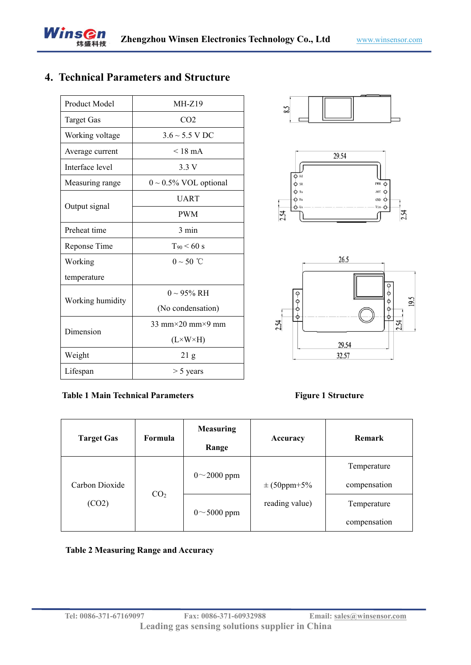## **4. Technical Parameters and Structure**

| Product Model     | $MH-Z19$                             | 8.5              |
|-------------------|--------------------------------------|------------------|
| <b>Target Gas</b> | CO <sub>2</sub>                      |                  |
| Working voltage   | $3.6 \sim 5.5 \text{ V} \text{ DC}$  |                  |
| Average current   | $< 18$ mA                            | 29.54            |
| Interface level   | 3.3V                                 |                  |
| Measuring range   | $0 \sim 0.5\%$ VOL optional          | $O$ Hd<br>$O$ SR |
|                   | <b>UART</b>                          | $Q$ Tx<br>$Q$ Rx |
| Output signal     | <b>PWM</b>                           | $O$ Ve<br>2.54   |
| Preheat time      | 3 min                                |                  |
| Reponse Time      | $T_{90}$ < 60 s                      |                  |
| Working           | $0 \sim 50$ °C                       | 26.3             |
| temperature       |                                      |                  |
|                   | $0 \sim 95\%$ RH                     | $\circ$          |
| Working humidity  | (No condensation)                    | $\circ$<br>O     |
| Dimension         | $33$ mm $\times$ 20 mm $\times$ 9 mm | Θ<br>2.54        |
|                   | $(L \times W \times H)$              | 29.5             |
| Weight            | 21 <sub>g</sub>                      | 32.5             |
| Lifespan          | $> 5$ years                          |                  |
|                   |                                      |                  |







#### **Table 1 Main Technical Parameters Figure 1 Structure**

| <b>Target Gas</b>       | Formula         | <b>Measuring</b><br>Range | Accuracy         | Remark       |
|-------------------------|-----------------|---------------------------|------------------|--------------|
| Carbon Dioxide<br>(CO2) | CO <sub>2</sub> | $0^{\sim}2000$ ppm        |                  | Temperature  |
|                         |                 |                           | $\pm (50$ ppm+5% | compensation |
|                         |                 | $0 \sim 5000$ ppm         | reading value)   | Temperature  |
|                         |                 |                           |                  | compensation |

#### **Table 2 Measuring Range and Accuracy**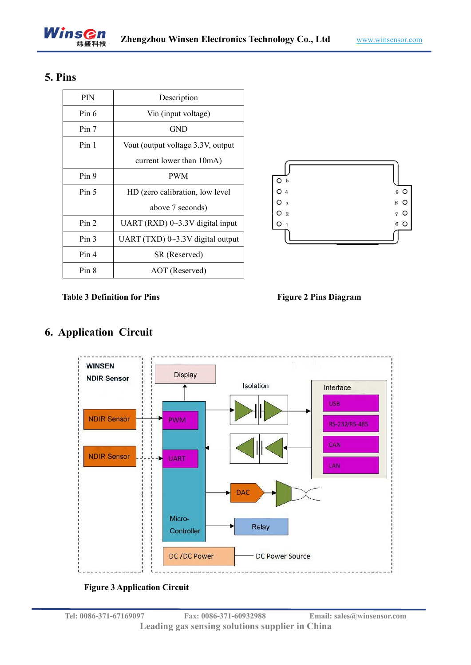

#### **5. Pins**

| <b>PIN</b>       | Description                             |                               |
|------------------|-----------------------------------------|-------------------------------|
| Pin 6            | Vin (input voltage)                     |                               |
| Pin 7            | <b>GND</b>                              |                               |
| Pin <sub>1</sub> | Vout (output voltage 3.3V, output       |                               |
|                  | current lower than 10mA)                |                               |
| Pin 9            | <b>PWM</b>                              | O <sub>5</sub>                |
| Pin 5            | HD (zero calibration, low level         | O <sub>4</sub>                |
|                  | above 7 seconds)                        | O<br>3<br>Ω<br>$\overline{2}$ |
| Pin <sub>2</sub> | UART (RXD) $0 \sim 3.3$ V digital input |                               |
| Pin <sub>3</sub> | UART (TXD) 0~3.3V digital output        |                               |
| Pin <sub>4</sub> | SR (Reserved)                           |                               |
| Pin 8            | AOT (Reserved)                          |                               |



**Table 3 Definition for Pins Figure 2 Pins Diagram**



#### **WINSEN Display NDIR Sensor** Isolation Interface **USB NDIR Sensor PWM** RS-232/RS-485 CAN **NDIR Sensor UART** LAN Micro-Relay Controller DC /DC Power **DC Power Source**

### **6. Application Circuit**

#### **Figure 3 Application Circuit**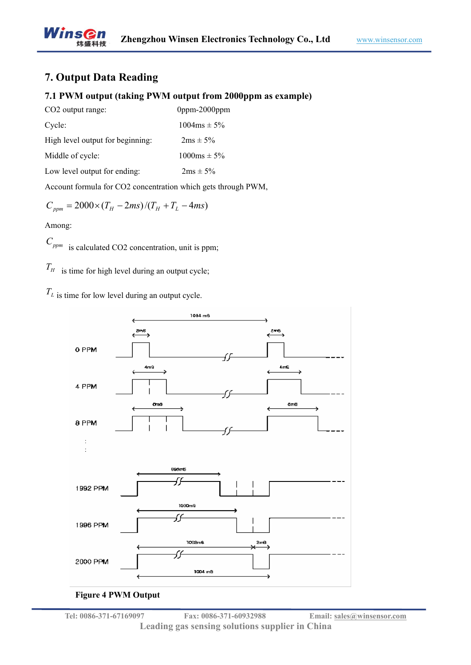## **7. Output Data Reading**

#### **7.1 PWM output (taking PWM output from 2000ppm as example)**

| $0$ ppm- $2000$ ppm |
|---------------------|
| $1004ms \pm 5\%$    |
| $2ms \pm 5\%$       |
| $1000ms \pm 5\%$    |
| $2ms \pm 5\%$       |
|                     |

Account formula for CO2 concentration which gets through PWM,

$$
C_{ppm} = 2000 \times (T_H - 2ms)/(T_H + T_L - 4ms)
$$

Among:

*<sup>C</sup>ppm* is calculated CO2 concentration, unit is ppm;

 $T_H$  is time for high level during an output cycle;

 $T_L$  is time for low level during an output cycle.



#### **Figure 4 PWM Output**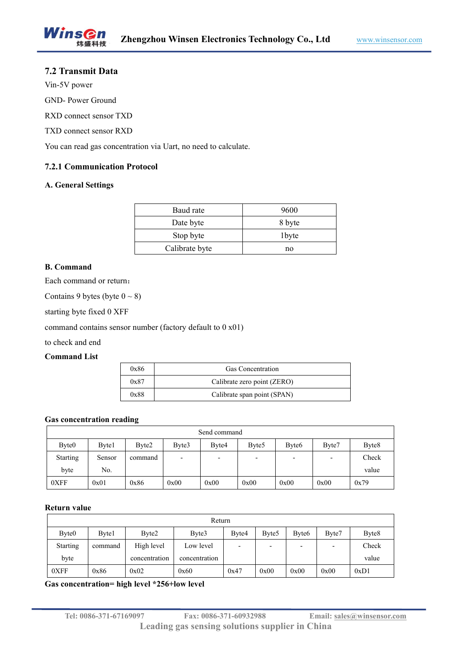#### **7.2 Transmit Data**

Vin-5V power

GND- Power Ground

RXD connect sensor TXD

TXD connect sensor RXD

You can read gas concentration via Uart, no need to calculate.

#### **7.2.1 [Communication](javascript:void(0);) [Protocol](javascript:void(0);)**

#### **A. General Settings**

| Baud rate      | 9600   |
|----------------|--------|
| Date byte      | 8 byte |
| Stop byte      | 1byte  |
| Calibrate byte | no     |

#### **B. Command**

Each command or return:

Contains 9 bytes (byte  $0 \sim 8$ )

starting byte fixed 0 XFF

command contains sensor number (factory default to 0 x01)

to check and end

#### **Command List**

| 0x86 | <b>Gas Concentration</b>    |
|------|-----------------------------|
| 0x87 | Calibrate zero point (ZERO) |
| 0x88 | Calibrate span point (SPAN) |

#### **Gas concentration reading**

| Send command      |        |         |                          |                          |                   |                          |       |                   |  |
|-------------------|--------|---------|--------------------------|--------------------------|-------------------|--------------------------|-------|-------------------|--|
| Byte <sub>0</sub> | Byte1  | Byte2   | Byte3                    | Byte4                    | Byte <sub>5</sub> | Byte <sub>6</sub>        | Byte7 | Byte <sub>8</sub> |  |
| <b>Starting</b>   | Sensor | command | $\overline{\phantom{0}}$ | $\overline{\phantom{0}}$ |                   | $\overline{\phantom{0}}$ |       | Check             |  |
| byte              | No.    |         |                          |                          |                   |                          |       | value             |  |
| 0XFF              | 0x01   | 0x86    | 0x00                     | 0x00                     | 0x00              | 0x00                     | 0x00  | 0x79              |  |

#### **Return value**

| Return            |         |               |               |       |                   |                          |                          |                   |  |
|-------------------|---------|---------------|---------------|-------|-------------------|--------------------------|--------------------------|-------------------|--|
| Byte <sub>0</sub> | Byte1   | Byte2         | Byte3         | Byte4 | Byte <sub>5</sub> | Byte <sub>6</sub>        | Byte7                    | Byte <sub>8</sub> |  |
| <b>Starting</b>   | command | High level    | Low level     |       |                   | $\overline{\phantom{0}}$ | $\overline{\phantom{0}}$ | Check             |  |
| byte              |         | concentration | concentration |       |                   |                          |                          | value             |  |
| 0XFF              | 0x86    | 0x02          | 0x60          | 0x47  | 0x00              | 0x00                     | 0x00                     | 0xD1              |  |

**Gas concentration= high level \*256+low level**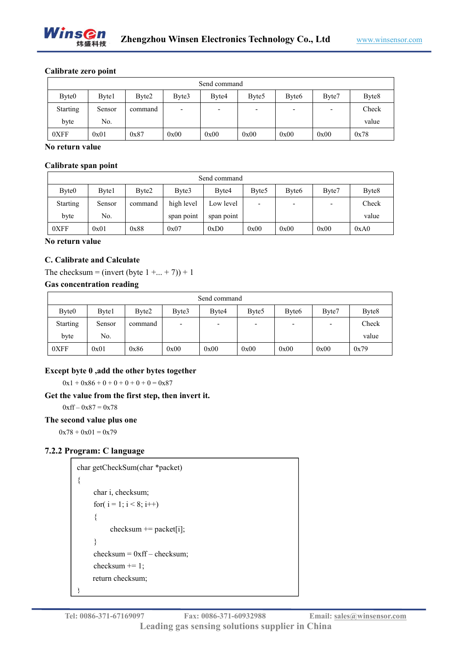

#### **Calibrate zero point**

| Send command      |              |         |                          |                          |                          |                   |                          |                   |  |
|-------------------|--------------|---------|--------------------------|--------------------------|--------------------------|-------------------|--------------------------|-------------------|--|
| Byte <sub>0</sub> | <b>Byte1</b> | Byte2   | Byte3                    | Byte4                    | Byte <sub>5</sub>        | Byte <sub>6</sub> | Byte7                    | Byte <sub>8</sub> |  |
| <b>Starting</b>   | Sensor       | command | $\overline{\phantom{0}}$ | $\overline{\phantom{0}}$ | $\overline{\phantom{0}}$ |                   | $\overline{\phantom{0}}$ | Check             |  |
| byte              | No.          |         |                          |                          |                          |                   |                          | value             |  |
| 0XFF              | 0x01         | 0x87    | 0x00                     | 0x00                     | 0x00                     | 0x00              | 0x00                     | 0x78              |  |

#### **No return value**

#### **Calibrate span point**

| Send command      |        |         |            |            |                          |                          |                          |                   |
|-------------------|--------|---------|------------|------------|--------------------------|--------------------------|--------------------------|-------------------|
| Byte <sub>0</sub> | Byte1  | Byte2   | Byte3      | Byte4      | Byte <sub>5</sub>        | Byte <sub>6</sub>        | Byte7                    | Byte <sub>8</sub> |
| <b>Starting</b>   | Sensor | command | high level | Low level  | $\overline{\phantom{0}}$ | $\overline{\phantom{0}}$ | $\overline{\phantom{0}}$ | Check             |
| byte              | No.    |         | span point | span point |                          |                          |                          | value             |
| 0XFF              | 0x01   | 0x88    | 0x07       | 0xD0       | 0x00                     | 0x00                     | 0x00                     | 0xA0              |

#### **No return value**

#### **C. Calibrate and Calculate**

The checksum = (invert (byte  $1 + ... + 7$ )) + 1

#### **Gas concentration reading**

| Send command      |        |         |       |       |                   |                          |       |                   |  |
|-------------------|--------|---------|-------|-------|-------------------|--------------------------|-------|-------------------|--|
| Byte <sub>0</sub> | Byte1  | Byte2   | Byte3 | Byte4 | Byte <sub>5</sub> | Byte <sub>6</sub>        | Byte7 | Byte <sub>8</sub> |  |
| <b>Starting</b>   | Sensor | command | -     |       |                   | $\overline{\phantom{0}}$ | -     | Check             |  |
| byte              | No.    |         |       |       |                   |                          |       | value             |  |
| 0XFF              | 0x01   | 0x86    | 0x00  | 0x00  | 0x00              | 0x00                     | 0x00  | 0x79              |  |

#### **Except byte 0 ,add the other bytes together**

 $0x1 + 0x86 + 0 + 0 + 0 + 0 + 0 = 0x87$ 

#### **Get the value from the firststep, then invert it.**

 $0xff - 0x87 = 0x78$ 

#### **The second value plus one**

 $0x78 + 0x01 = 0x79$ 

#### **7.2.2 Program: C language**

```
char getCheckSum(char *packet)
\{ \{char i, checksum;
   for( i = 1; i < 8; i++)\{checksum += packet[i];
   }
   checksum = 0xff – checksum;
   checksum += 1;
   return checksum;
}
```